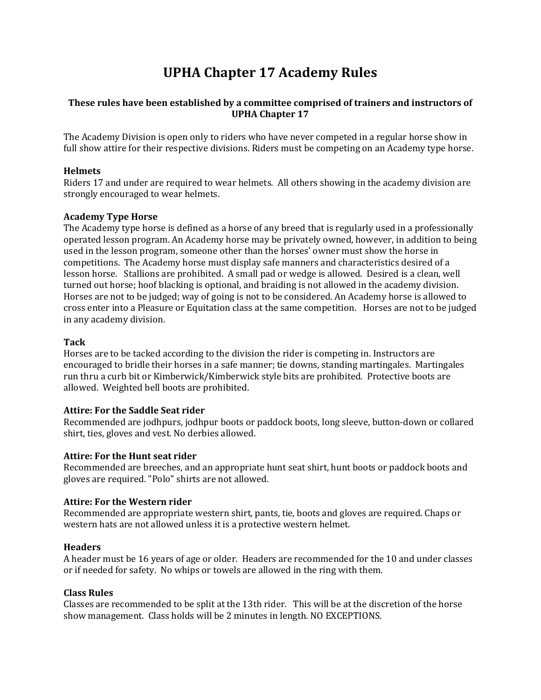# UPHA Chapter 17 Academy Rules

# These rules have been established by a committee comprised of trainers and instructors of UPHA Chapter 17

The Academy Division is open only to riders who have never competed in a regular horse show in full show attire for their respective divisions. Riders must be competing on an Academy type horse.

## **Helmets**

Riders 17 and under are required to wear helmets. All others showing in the academy division are strongly encouraged to wear helmets.

# Academy Type Horse

The Academy type horse is defined as a horse of any breed that is regularly used in a professionally operated lesson program. An Academy horse may be privately owned, however, in addition to being used in the lesson program, someone other than the horses' owner must show the horse in competitions. The Academy horse must display safe manners and characteristics desired of a lesson horse. Stallions are prohibited. A small pad or wedge is allowed. Desired is a clean, well turned out horse; hoof blacking is optional, and braiding is not allowed in the academy division. Horses are not to be judged; way of going is not to be considered. An Academy horse is allowed to cross enter into a Pleasure or Equitation class at the same competition. Horses are not to be judged in any academy division.

## Tack

Horses are to be tacked according to the division the rider is competing in. Instructors are encouraged to bridle their horses in a safe manner; tie downs, standing martingales. Martingales run thru a curb bit or Kimberwick/Kimberwick style bits are prohibited. Protective boots are allowed. Weighted bell boots are prohibited.

## Attire: For the Saddle Seat rider

Recommended are jodhpurs, jodhpur boots or paddock boots, long sleeve, button-down or collared shirt, ties, gloves and vest. No derbies allowed.

## Attire: For the Hunt seat rider

Recommended are breeches, and an appropriate hunt seat shirt, hunt boots or paddock boots and gloves are required. "Polo" shirts are not allowed.

## Attire: For the Western rider

Recommended are appropriate western shirt, pants, tie, boots and gloves are required. Chaps or western hats are not allowed unless it is a protective western helmet.

## **Headers**

A header must be 16 years of age or older. Headers are recommended for the 10 and under classes or if needed for safety. No whips or towels are allowed in the ring with them.

## Class Rules

Classes are recommended to be split at the 13th rider. This will be at the discretion of the horse show management. Class holds will be 2 minutes in length. NO EXCEPTIONS.